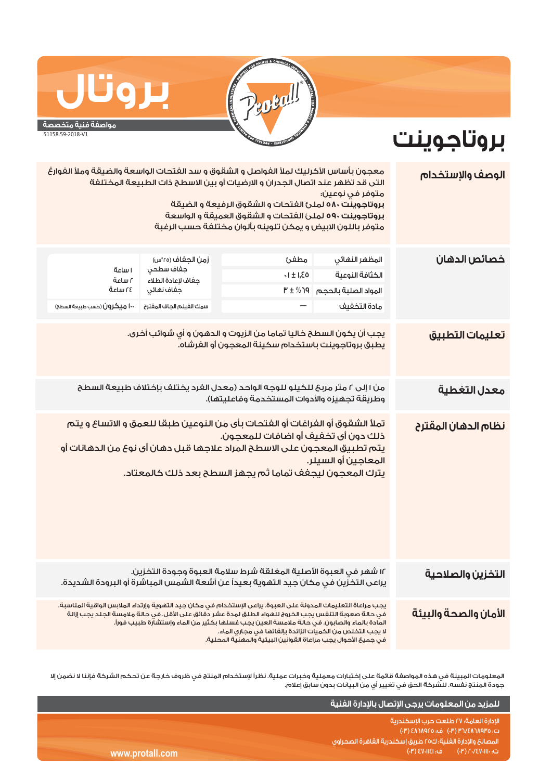

## **بروتال مواصفة فنية متخصصة**

## 51158.59-2018-V1

## **بروتاجوينت**

| الوصف والإستخدام      | معجون بأساس الأكرليك لملأ الغواصل و الشقوق و سد الفتحات الواسعة والضيقة وملأ الغوارغ<br>التى قد تظهر عند اتصال الجدران و الارضيات أو بين الاسطح ذات الطبيعة المختلفة<br>متوفر في نوعين؛<br>بروتاجوينت ٥٨٠ لملئ الفتحات و الشقوق الرفيعة و الضيقة<br>بروتاجوينت ٥٩٠ لملئ الفتحات و الشقوق العميقة و الواسعة<br>متوفر باللون الابيض و يمكن تلوينه بألوان مختلفة حسب الرغبة                                                                              |                                                                                                                                                                                                                                                              |                                                                                                |                                                                   |  |  |
|-----------------------|-------------------------------------------------------------------------------------------------------------------------------------------------------------------------------------------------------------------------------------------------------------------------------------------------------------------------------------------------------------------------------------------------------------------------------------------------------|--------------------------------------------------------------------------------------------------------------------------------------------------------------------------------------------------------------------------------------------------------------|------------------------------------------------------------------------------------------------|-------------------------------------------------------------------|--|--|
| خصائص الدهان          | المظهر النهائي<br>الكثافة النوعية<br>المواد الصلبة بالحجم<br>مادة التخفيف                                                                                                                                                                                                                                                                                                                                                                             | مطفئ<br>$-1 \pm 1,80$<br>$P \pm \%$ ף (                                                                                                                                                                                                                      | زمن الجغاف (٢٥°س)<br>جفاف سطحي<br>حفاف لإعادة الطلاء<br>جفاف نهائي<br>سمك الفيلم الجاف المقترح | ا ساعة<br>آساعة<br>٢٤ ساعة<br><b>۱۰۰ میکرون</b> (حسب طبیعة السطح) |  |  |
| تعليمات التطبيق       | يجب أن يكون السطح خاليا تماما من الزيوت و الدهون و أي شوائب أخرى.<br>يطبق بروتاجوينت باستخدام سكينة المعجون أو الفرشاه.                                                                                                                                                                                                                                                                                                                               |                                                                                                                                                                                                                                                              |                                                                                                |                                                                   |  |  |
| معدل التغطية          | من ١ إلى ٢ متر مربحَ للكيلو للوجه الواحد (معدل الفرد يختلف بإختلاف طبيعة السطح<br>وطريقة تجهيزه والأدوات المستخدمة وفاعليتها).                                                                                                                                                                                                                                                                                                                        |                                                                                                                                                                                                                                                              |                                                                                                |                                                                   |  |  |
| نظام الدهان المقترح   | المعاجين أو السيلر.                                                                                                                                                                                                                                                                                                                                                                                                                                   | تملأ الشقوق أو الفراغات أو الفتحات بأى من النوعين طبقا للعمق و الاتساع و يتم<br>ذلك دون أى تخفيف أو اضافات للمعجون.<br>يتم تطبيق المعجون على الاسطح المراد علاجها قبل دهان أى نوع من الدهانات أو<br>يترك المعجون ليجفف تماما ثم يجهز السطح بعد ذلك كالمعتاد. |                                                                                                |                                                                   |  |  |
| التخزين والصلاحية     |                                                                                                                                                                                                                                                                                                                                                                                                                                                       | ١٢ شهر في العبوة الأصلية المغلقة شرط سلامة العبوة وجودة التخزين.<br>يراعى التخزين في مكان جيد التهوية بعيداً عن أشعة الشمس المباشرة أو البرودة الشديدة.                                                                                                      |                                                                                                |                                                                   |  |  |
| الأمان والصحة والبيئة | يجب مراعاة التعليمات المدونة على العبوة. يراعى الإستخدام في مكان جيد التهوية وإرتداء الملابس الواقية المناسبة.<br>فى حالة صعوبة التنفس يجب الخروج للهواء الطلق لمدة عشر دقائق على الأقل. فى حالة ملامسة الجلد يجب إزالة<br>المادة بالماء والصابون. في حالة ملامسة العين يجب غسلها بكثير من الماء وإستشارة طبيب فوراً.<br>لا يجب التخلص من الكميات الزائدة بإلقائها في مجاري الماء.<br>في حميـًا الأحوال بحب مراعاة القوانين البيئية والمهنية المحلية. |                                                                                                                                                                                                                                                              |                                                                                                |                                                                   |  |  |

المعلومات المبينة في هذه المواصفة قائمة على إختبارات معملية وخبرات عملية. نظراً لإستخدام المنتج في ظروف خارجة عن تحكم الشركة فإننا لا نضمن إلا جودة المنتج نفسه. للشركة الحق في تغيير أي من البيانات بدون سابق إعلام.

|                 | ِ للمزيد من المعلومات يرجى الإتصال بالإدارة الفنية <sup> </sup>           |
|-----------------|---------------------------------------------------------------------------|
|                 | الادارة العامة؛ ٢٧ طلعت حرب الاسكندرية<br>ت: ٣٥/٨٦٨٩٢٥ (٣) ف: ٤٨٦٨٩٢٥ (٣) |
|                 | ً المصانعَ والإدارة الفنية؛ ك٢٥ طريق إسكندرية القاهرة الصحراوى ر          |
| www.protall.com | ف: EV-IIEI) 8                                                             |